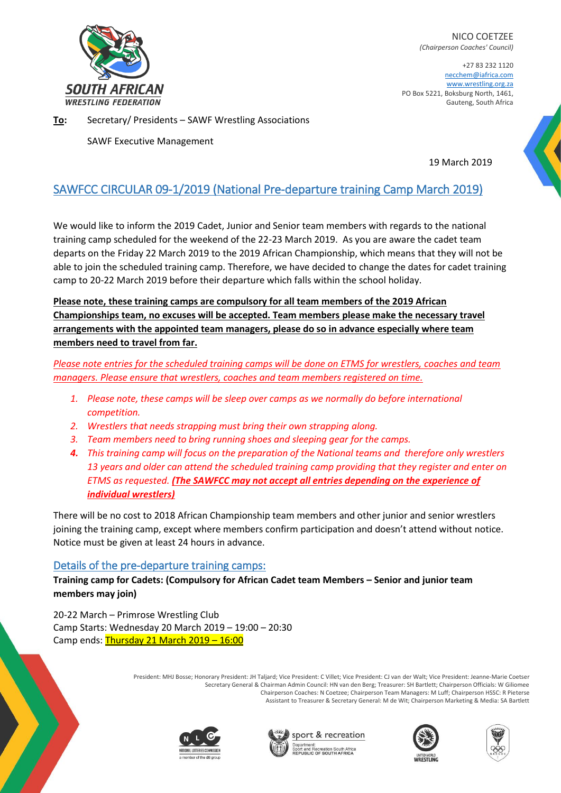

NICO COETZEE *(Chairperson Coaches' Council)*

+27 83 232 1120 necchem@iafrica.com [www.wrestling.org.za](http://www.wrestling.org.za/) PO Box 5221, Boksburg North, 1461, Gauteng, South Africa

**To:** Secretary/ Presidents – SAWF Wrestling Associations

SAWF Executive Management

19 March 2019

## SAWFCC CIRCULAR 09-1/2019 (National Pre-departure training Camp March 2019)

We would like to inform the 2019 Cadet, Junior and Senior team members with regards to the national training camp scheduled for the weekend of the 22-23 March 2019. As you are aware the cadet team departs on the Friday 22 March 2019 to the 2019 African Championship, which means that they will not be able to join the scheduled training camp. Therefore, we have decided to change the dates for cadet training camp to 20-22 March 2019 before their departure which falls within the school holiday.

**Please note, these training camps are compulsory for all team members of the 2019 African Championships team, no excuses will be accepted. Team members please make the necessary travel arrangements with the appointed team managers, please do so in advance especially where team members need to travel from far.**

*Please note entries for the scheduled training camps will be done on ETMS for wrestlers, coaches and team managers. Please ensure that wrestlers, coaches and team members registered on time.*

- *1. Please note, these camps will be sleep over camps as we normally do before international competition.*
- *2. Wrestlers that needs strapping must bring their own strapping along.*
- *3. Team members need to bring running shoes and sleeping gear for the camps.*
- *4. This training camp will focus on the preparation of the National teams and therefore only wrestlers 13 years and older can attend the scheduled training camp providing that they register and enter on ETMS as requested. (The SAWFCC may not accept all entries depending on the experience of individual wrestlers)*

There will be no cost to 2018 African Championship team members and other junior and senior wrestlers joining the training camp, except where members confirm participation and doesn't attend without notice. Notice must be given at least 24 hours in advance.

## Details of the pre-departure training camps:

**Training camp for Cadets: (Compulsory for African Cadet team Members – Senior and junior team members may join)**

20-22 March – Primrose Wrestling Club Camp Starts: Wednesday 20 March 2019 – 19:00 – 20:30 Camp ends: Thursday 21 March 2019 – 16:00

> President: MHJ Bosse; Honorary President: JH Taljard; Vice President: C Villet; Vice President: CJ van der Walt; Vice President: Jeanne-Marie Coetser Secretary General & Chairman Admin Council: HN van den Berg; Treasurer: SH Bartlett; Chairperson Officials: W Giliomee Chairperson Coaches: N Coetzee; Chairperson Team Managers: M Luff; Chairperson HSSC: R Pieterse Assistant to Treasurer & Secretary General: M de Wit; Chairperson Marketing & Media: SA Bartlett